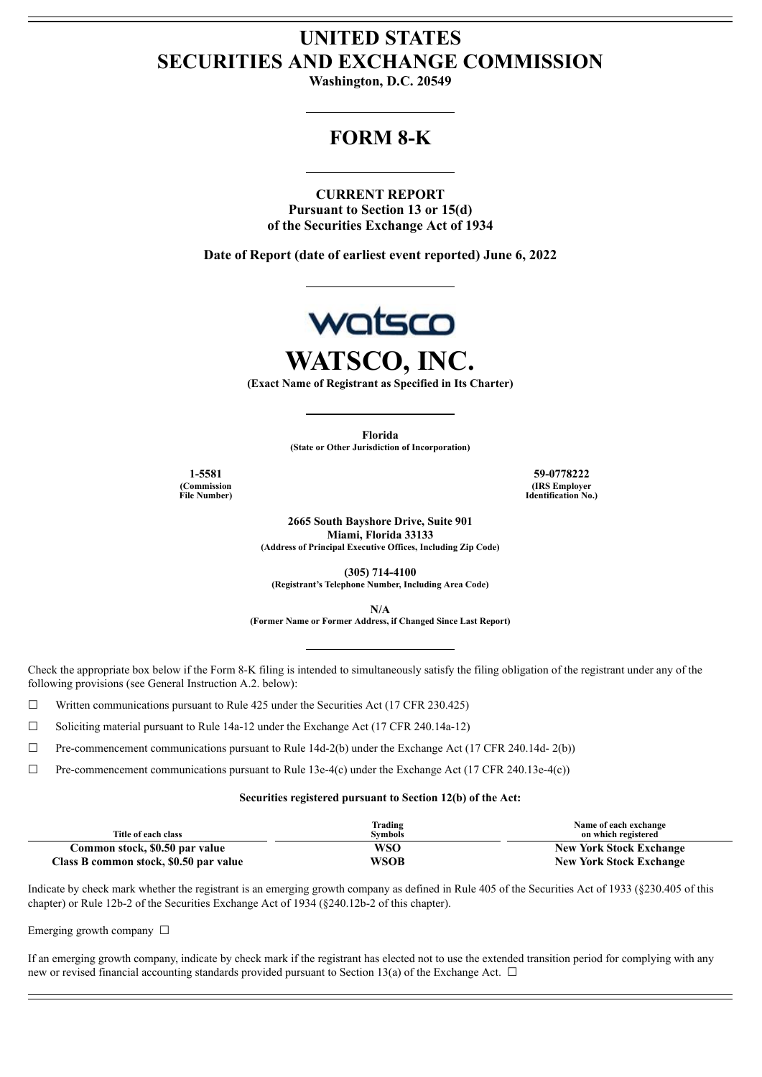# **UNITED STATES SECURITIES AND EXCHANGE COMMISSION**

**Washington, D.C. 20549**

## **FORM 8-K**

**CURRENT REPORT Pursuant to Section 13 or 15(d) of the Securities Exchange Act of 1934**

**Date of Report (date of earliest event reported) June 6, 2022**



**WATSCO, INC.**

**(Exact Name of Registrant as Specified in Its Charter)**

**Florida (State or Other Jurisdiction of Incorporation)**

**(Commission File Number)**

**1-5581 59-0778222 (IRS Employer Identification No.)**

> **2665 South Bayshore Drive, Suite 901 Miami, Florida 33133 (Address of Principal Executive Offices, Including Zip Code)**

**(305) 714-4100 (Registrant's Telephone Number, Including Area Code)**

**N/A**

**(Former Name or Former Address, if Changed Since Last Report)**

Check the appropriate box below if the Form 8-K filing is intended to simultaneously satisfy the filing obligation of the registrant under any of the following provisions (see General Instruction A.2. below):

☐ Written communications pursuant to Rule 425 under the Securities Act (17 CFR 230.425)

 $\Box$  Soliciting material pursuant to Rule 14a-12 under the Exchange Act (17 CFR 240.14a-12)

☐ Pre-commencement communications pursuant to Rule 14d-2(b) under the Exchange Act (17 CFR 240.14d- 2(b))

☐ Pre-commencement communications pursuant to Rule 13e-4(c) under the Exchange Act (17 CFR 240.13e-4(c))

#### **Securities registered pursuant to Section 12(b) of the Act:**

| Title of each class                    | Trading<br><b>Symbols</b> | Name of each exchange<br>on which registered |
|----------------------------------------|---------------------------|----------------------------------------------|
| Common stock, \$0.50 par value         | WSO                       | <b>New York Stock Exchange</b>               |
| Class B common stock, \$0.50 par value | WSOB                      | <b>New York Stock Exchange</b>               |

Indicate by check mark whether the registrant is an emerging growth company as defined in Rule 405 of the Securities Act of 1933 (§230.405 of this chapter) or Rule 12b-2 of the Securities Exchange Act of 1934 (§240.12b-2 of this chapter).

## Emerging growth company □

If an emerging growth company, indicate by check mark if the registrant has elected not to use the extended transition period for complying with any new or revised financial accounting standards provided pursuant to Section 13(a) of the Exchange Act.  $\Box$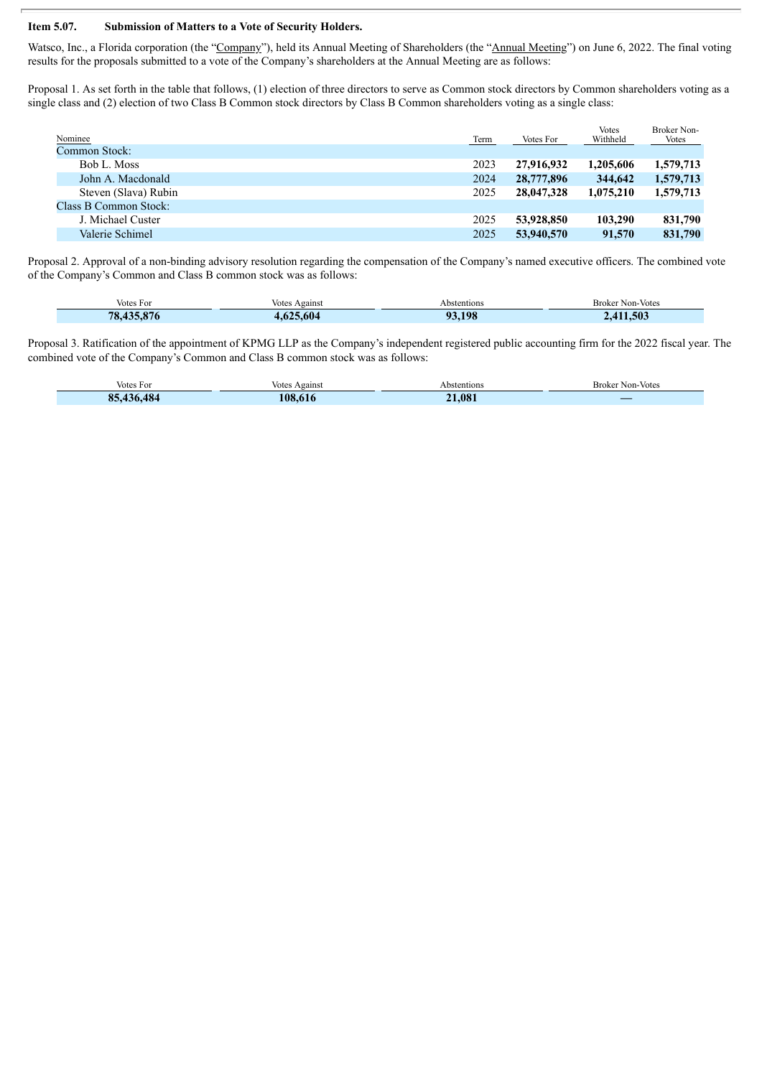### **Item 5.07. Submission of Matters to a Vote of Security Holders.**

Watsco, Inc., a Florida corporation (the "Company"), held its Annual Meeting of Shareholders (the "Annual Meeting") on June 6, 2022. The final voting results for the proposals submitted to a vote of the Company's shareholders at the Annual Meeting are as follows:

Proposal 1. As set forth in the table that follows, (1) election of three directors to serve as Common stock directors by Common shareholders voting as a single class and (2) election of two Class B Common stock directors by Class B Common shareholders voting as a single class:

| <b>Votes</b><br>Broker Non-<br>Withheld<br>Term<br>Votes<br>Votes For |
|-----------------------------------------------------------------------|
|                                                                       |
| 2023<br>1,205,606<br>27,916,932<br>1,579,713                          |
| 2024<br>28,777,896<br>344,642<br>1,579,713                            |
| 2025<br>28,047,328<br>1,075,210<br>1,579,713                          |
|                                                                       |
| 2025<br>53,928,850<br>103,290<br>831,790                              |
| 2025<br>53,940,570<br>831,790<br>91,570                               |
|                                                                       |

Proposal 2. Approval of a non-binding advisory resolution regarding the compensation of the Company's named executive officers. The combined vote of the Company's Common and Class B common stock was as follows:

| Votes For  | Votes Against | Abstentions | <b>Broker Non-Votes</b> |
|------------|---------------|-------------|-------------------------|
| 78.435.876 | .625.604      | 93.198      | .411.503                |

Proposal 3. Ratification of the appointment of KPMG LLP as the Company's independent registered public accounting firm for the 2022 fiscal year. The combined vote of the Company's Common and Class B common stock was as follows:

| Votes For                 | Against<br>Votes | Abstentions      | Non-Votes<br>Broker |
|---------------------------|------------------|------------------|---------------------|
| $\sim$<br>QΕ<br>$\bullet$ | 108              | .08 <sup>7</sup> | ____                |